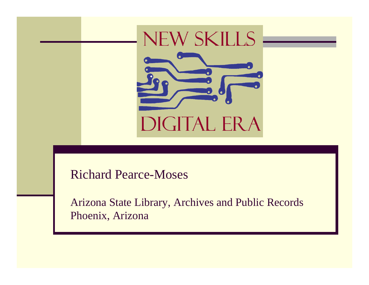# NEW SKILLS

DIGITAL ERA

#### Richard Pearce-Moses

Arizona State Library, Archives and Public Records Phoenix, Arizona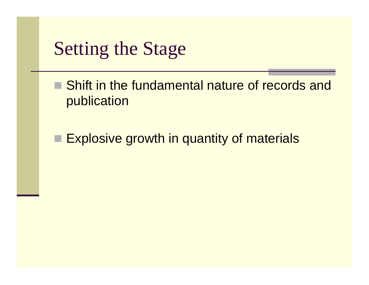

- Shift in the fundamental nature of records and publication
- □ Explosive growth in quantity of materials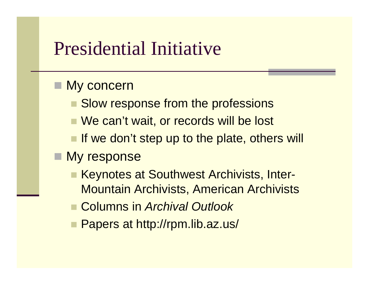#### Presidential Initiative

#### My concern

- Slow response from the professions
- We can't wait, or records will be lost
- **If we don't step up to the plate, others will**

#### **Ny response**

- Keynotes at Southwest Archivists, Inter-Mountain Archivists, American Archivists
- Columns in *Archival Outlook*
- Papers at http://rpm.lib.az.us/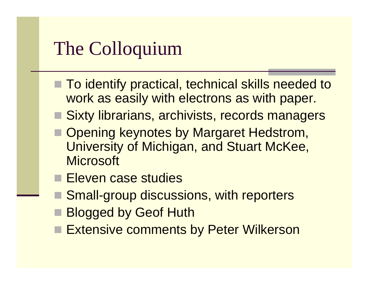# The Colloquium

- To identify practical, technical skills needed to work as easily with electrons as with paper.
- Sixty librarians, archivists, records managers
- Opening keynotes by Margaret Hedstrom, University of Michigan, and Stuart McKee, **Microsoft**
- Eleven case studies
- Small-group discussions, with reporters
- **Blogged by Geof Huth**
- **Extensive comments by Peter Wilkerson**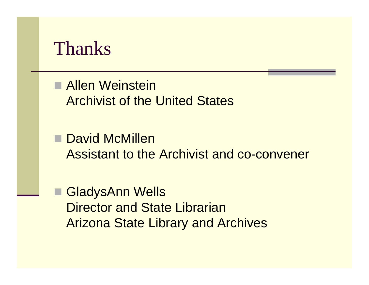

■ Allen Weinstein Archivist of the United States

■ David McMillen Assistant to the Archivist and co-convener

 GladysAnn Wells Director and State LibrarianArizona State Library and Archives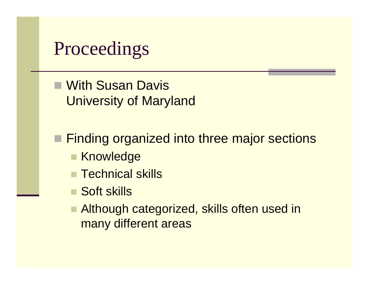#### **Proceedings**

■ With Susan Davis University of Maryland

■ Finding organized into three major sections

- Knowledge
- $\blacksquare$  Technical skills
- Soft skills
- $\Box$  Although categorized, skills often used in many different areas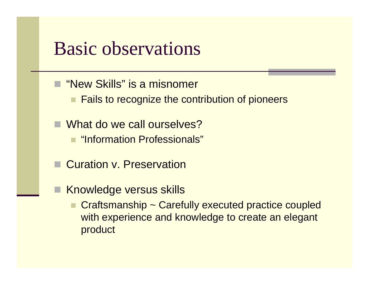#### Basic observations

- "New Skills" is a misnomer
	- **Fails to recognize the contribution of pioneers**
- What do we call ourselves? ■ "Information Professionals"
- Curation v. Preservation
- Knowledge versus skills
	- Craftsmanship ~ Carefully executed practice coupled with experience and knowledge to create an elegant product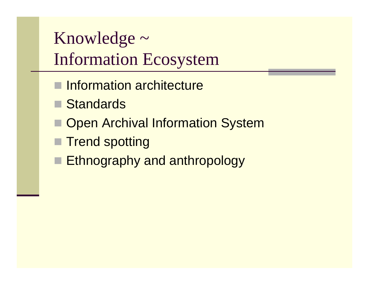Knowledge  $\sim$ Information Ecosystem

- Information architecture
- **Standards**
- **Den Archival Information System**
- Trend spotting
- **Ethnography and anthropology**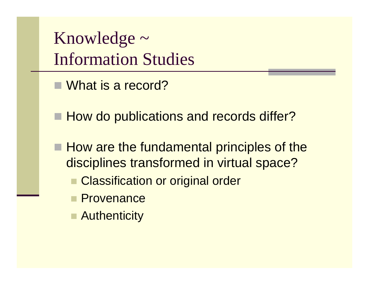Knowledge  $\sim$ Information Studies

- What is a record?
- How do publications and records differ?
- $\blacksquare$  How are the fundamental principles of the disciplines transformed in virtual space?
	- **Classification or original order**
	- **Provenance**
	- **Authenticity**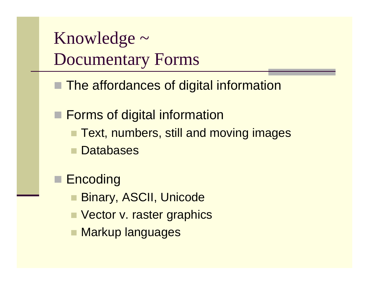Knowledge  $\sim$ Documentary Forms

- The affordances of digital information
- **Forms of digital information** 
	- Text, numbers, still and moving images
	- **Databases**
	- **Encoding** 
		- Binary, ASCII, Unicode
		- Vector v. raster graphics
		- Markup languages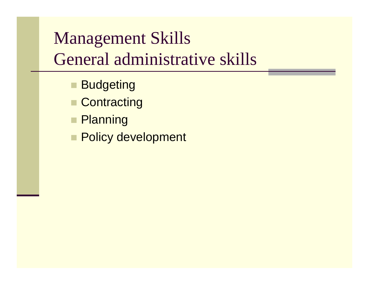#### Management Skills General administrative skills

- Budgeting
- Contracting
- **Planning**
- **Policy development**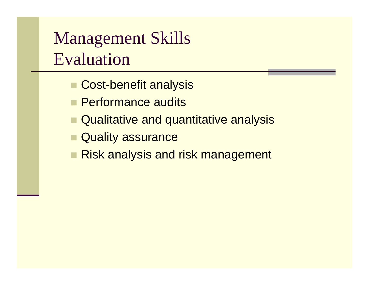Management Skills Evaluation

- Cost-benefit analysis
- **Performance audits**
- Qualitative and quantitative analysis
- **Quality assurance**
- Risk analysis and risk management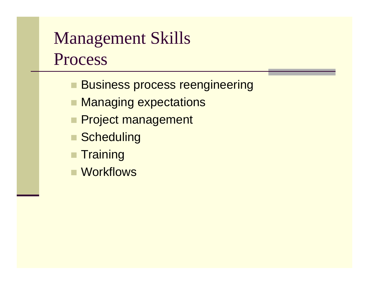#### Management Skills Process

- **Business process reengineering**
- Managing expectations
- **Project management**
- Scheduling
- $\blacksquare$  Training
- Workflows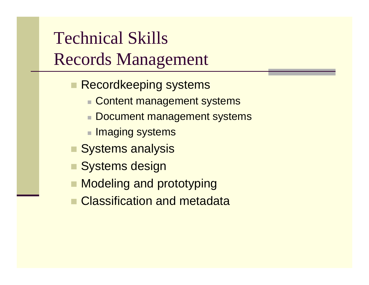#### Technical Skills Records Management

- **Recordkeeping systems** 
	- Content management systems
	- Document management systems
	- $\blacksquare$  Imaging systems
- **Systems analysis**
- Systems design
- Modeling and prototyping
- Classification and metadata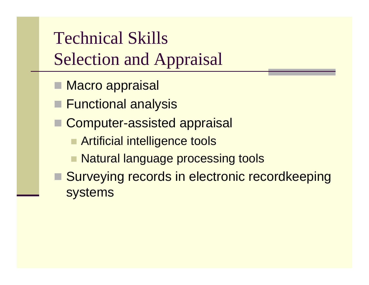### Technical Skills Selection and Appraisal

- Macro appraisal
- Functional analysis
- Computer-assisted appraisal
	- **Example 2 Artificial intelligence tools**
	- Natural language processing tools
- Surveying records in electronic recordkeeping systems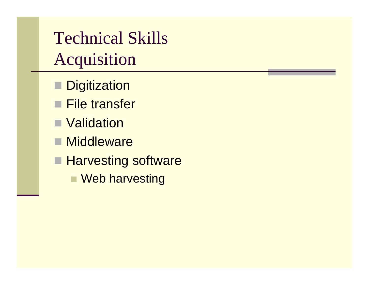Technical Skills Acquisition

- **Digitization**
- File transfer
- Validation
- **Middleware**
- **Harvesting software** 
	- Web harvesting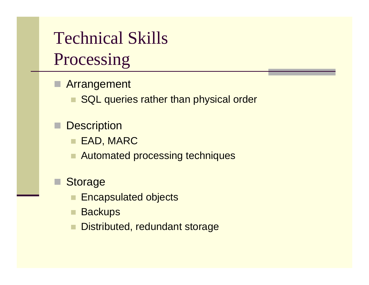#### Technical Skills Processing

- Arrangement
	- SQL queries rather than physical order
	- **Description** 
		- EAD, MARC
		- Automated processing techniques
- **Storage** 
	- Encapsulated objects
	- **Backups**
	- Distributed, redundant storage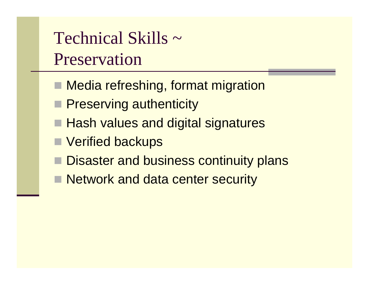Technical Skills ~Preservation

- Media refreshing, format migration
- **Preserving authenticity**
- Hash values and digital signatures
- Verified backups
- **Disaster and business continuity plans**
- **Network and data center security**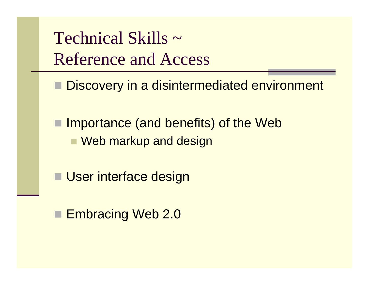Technical Skills ~ Reference and Access

Discovery in a disintermediated environment

■ Importance (and benefits) of the Web ■ Web markup and design

**User interface design** 

■ Embracing Web 2.0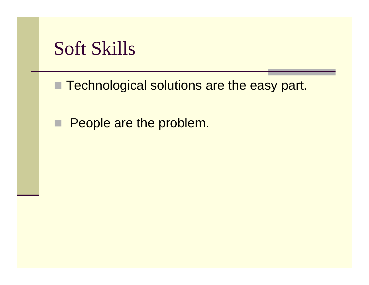#### Soft Skills

■ Technological solutions are the easy part.

 $\Box$ People are the problem.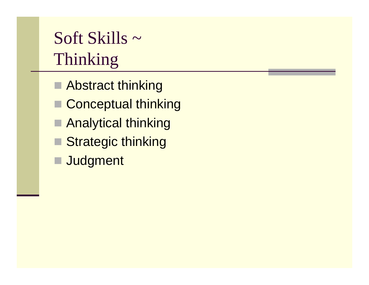# Soft Skills ~ Thinking

- Abstract thinking
- Conceptual thinking
- Analytical thinking
- Strategic thinking
- Judgment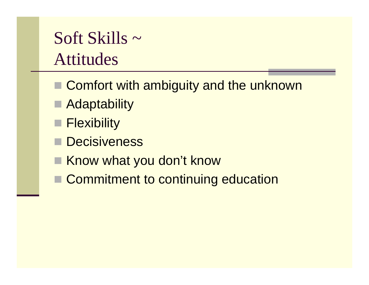#### Soft Skills ~ Attitudes

- Comfort with ambiguity and the unknown
- **Adaptability**
- **Flexibility**
- **Decisiveness**
- Know what you don't know
- Commitment to continuing education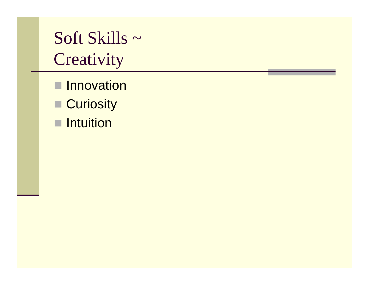#### Soft Skills ~ **Creativity**

- **Innovation**
- Curiosity
- **Intuition**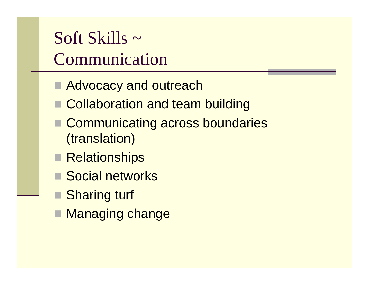Soft Skills ~Communication

- Advocacy and outreach
- Collaboration and team building
- Communicating across boundaries (translation)
- Relationships
- Social networks
- Sharing turf
- Managing change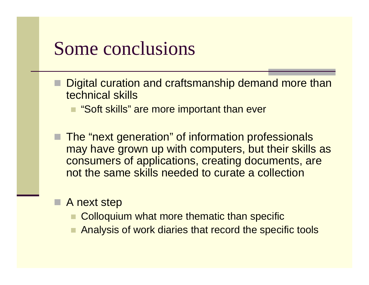#### Some conclusions

- Digital curation and craftsmanship demand more than technical skills
	- "Soft skills" are more important than ever
- The "next generation" of information professionals may have grown up with computers, but their skills as consumers of applications, creating documents, are not the same skills needed to curate a collection
- A next step
	- Colloquium what more thematic than specific
	- Analysis of work diaries that record the specific tools